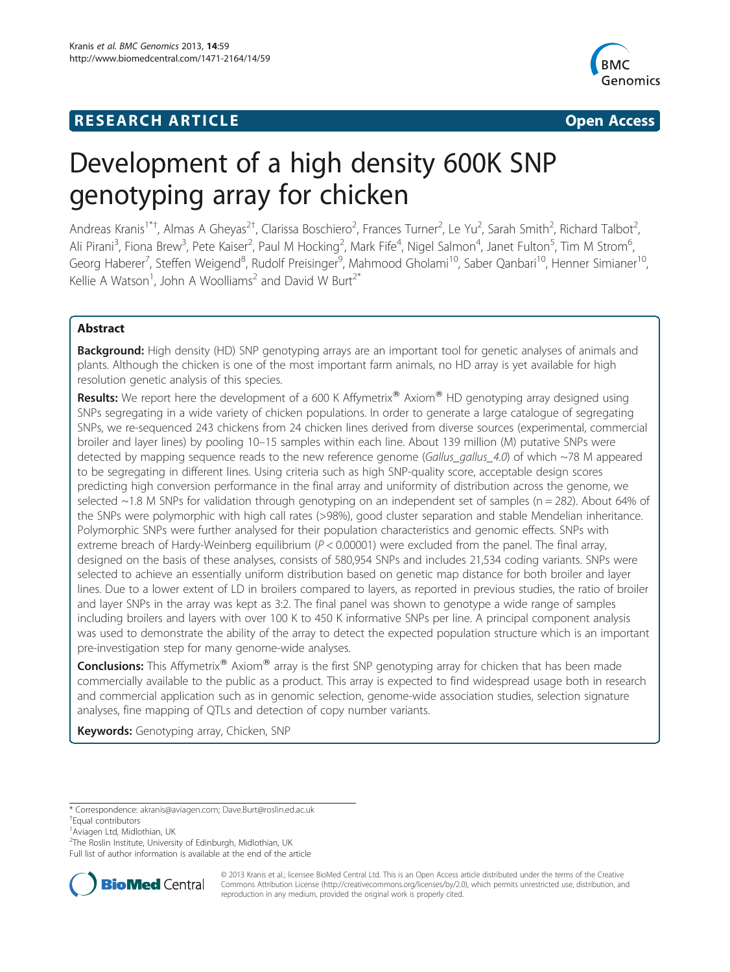# **RESEARCH ARTICLE Example 2014 CONSIDERING A RESEARCH ARTICLE**



# Development of a high density 600K SNP genotyping array for chicken

Andreas Kranis<sup>1\*†</sup>, Almas A Gheyas<sup>2†</sup>, Clarissa Boschiero<sup>2</sup>, Frances Turner<sup>2</sup>, Le Yu<sup>2</sup>, Sarah Smith<sup>2</sup>, Richard Talbot<sup>2</sup> , Ali Pirani<sup>3</sup>, Fiona Brew<sup>3</sup>, Pete Kaiser<sup>2</sup>, Paul M Hocking<sup>2</sup>, Mark Fife<sup>4</sup>, Nigel Salmon<sup>4</sup>, Janet Fulton<sup>5</sup>, Tim M Strom<sup>6</sup> , Georg Haberer<sup>7</sup>, Steffen Weigend<sup>8</sup>, Rudolf Preisinger<sup>9</sup>, Mahmood Gholami<sup>10</sup>, Saber Qanbari<sup>10</sup>, Henner Simianer<sup>10</sup>, Kellie A Watson<sup>1</sup>, John A Woolliams<sup>2</sup> and David W Burt<sup>2\*</sup>

# Abstract

Background: High density (HD) SNP genotyping arrays are an important tool for genetic analyses of animals and plants. Although the chicken is one of the most important farm animals, no HD array is yet available for high resolution genetic analysis of this species.

**Results:** We report here the development of a 600 K Affymetrix<sup>®</sup> Axiom<sup>®</sup> HD genotyping array designed using SNPs segregating in a wide variety of chicken populations. In order to generate a large catalogue of segregating SNPs, we re-sequenced 243 chickens from 24 chicken lines derived from diverse sources (experimental, commercial broiler and layer lines) by pooling 10–15 samples within each line. About 139 million (M) putative SNPs were detected by mapping sequence reads to the new reference genome (Gallus gallus 4.0) of which  $\sim$ 78 M appeared to be segregating in different lines. Using criteria such as high SNP-quality score, acceptable design scores predicting high conversion performance in the final array and uniformity of distribution across the genome, we selected ~1.8 M SNPs for validation through genotyping on an independent set of samples (n = 282). About 64% of the SNPs were polymorphic with high call rates (>98%), good cluster separation and stable Mendelian inheritance. Polymorphic SNPs were further analysed for their population characteristics and genomic effects. SNPs with extreme breach of Hardy-Weinberg equilibrium ( $P < 0.00001$ ) were excluded from the panel. The final array, designed on the basis of these analyses, consists of 580,954 SNPs and includes 21,534 coding variants. SNPs were selected to achieve an essentially uniform distribution based on genetic map distance for both broiler and layer lines. Due to a lower extent of LD in broilers compared to layers, as reported in previous studies, the ratio of broiler and layer SNPs in the array was kept as 3:2. The final panel was shown to genotype a wide range of samples including broilers and layers with over 100 K to 450 K informative SNPs per line. A principal component analysis was used to demonstrate the ability of the array to detect the expected population structure which is an important pre-investigation step for many genome-wide analyses.

Conclusions: This Affymetrix® Axiom® array is the first SNP genotyping array for chicken that has been made commercially available to the public as a product. This array is expected to find widespread usage both in research and commercial application such as in genomic selection, genome-wide association studies, selection signature analyses, fine mapping of QTLs and detection of copy number variants.

Keywords: Genotyping array, Chicken, SNP

\* Correspondence: [akranis@aviagen.com](mailto:akranis@aviagen.com); [Dave.Burt@roslin.ed.ac.uk](mailto:Dave.Burt@roslin.ed.ac.uk) †

Equal contributors

1 Aviagen Ltd, Midlothian, UK

Full list of author information is available at the end of the article



© 2013 Kranis et al.; licensee BioMed Central Ltd. This is an Open Access article distributed under the terms of the Creative Commons Attribution License [\(http://creativecommons.org/licenses/by/2.0\)](http://creativecommons.org/licenses/by/2.0), which permits unrestricted use, distribution, and reproduction in any medium, provided the original work is properly cited.

<sup>&</sup>lt;sup>2</sup>The Roslin Institute, University of Edinburgh, Midlothian, UK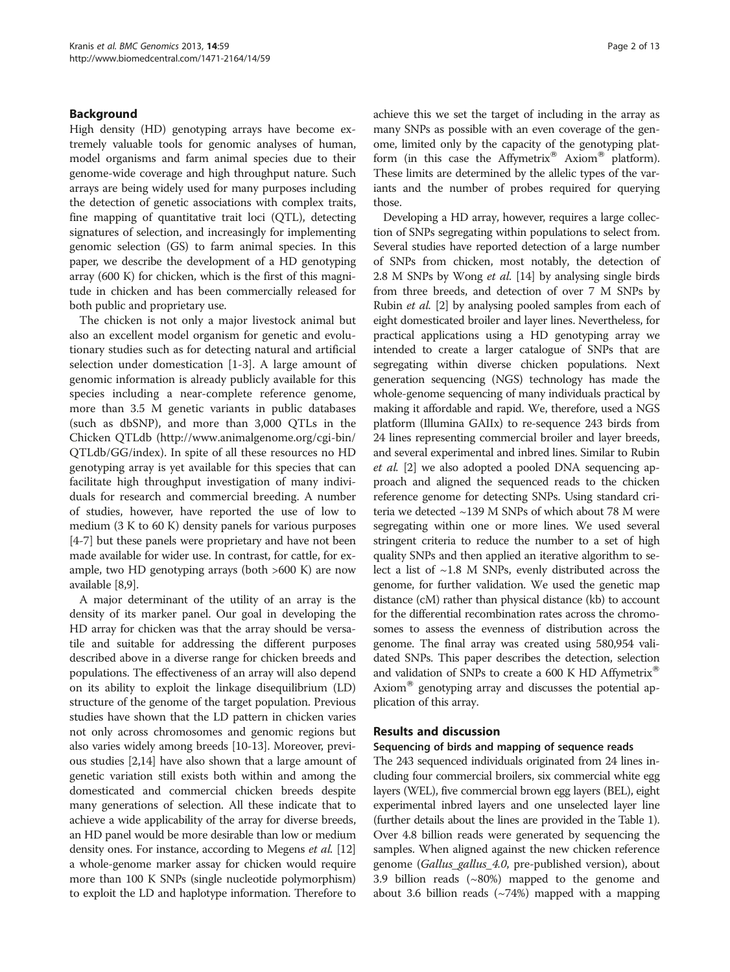# Background

High density (HD) genotyping arrays have become extremely valuable tools for genomic analyses of human, model organisms and farm animal species due to their genome-wide coverage and high throughput nature. Such arrays are being widely used for many purposes including the detection of genetic associations with complex traits, fine mapping of quantitative trait loci (QTL), detecting signatures of selection, and increasingly for implementing genomic selection (GS) to farm animal species. In this paper, we describe the development of a HD genotyping array (600 K) for chicken, which is the first of this magnitude in chicken and has been commercially released for both public and proprietary use.

The chicken is not only a major livestock animal but also an excellent model organism for genetic and evolutionary studies such as for detecting natural and artificial selection under domestication [\[1](#page-11-0)-[3\]](#page-11-0). A large amount of genomic information is already publicly available for this species including a near-complete reference genome, more than 3.5 M genetic variants in public databases (such as dbSNP), and more than 3,000 QTLs in the Chicken QTLdb ([http://www.animalgenome.org/cgi-bin/](http://www.animalgenome.org/cgi-bin/QTLdb/GG/index) [QTLdb/GG/index\)](http://www.animalgenome.org/cgi-bin/QTLdb/GG/index). In spite of all these resources no HD genotyping array is yet available for this species that can facilitate high throughput investigation of many individuals for research and commercial breeding. A number of studies, however, have reported the use of low to medium (3 K to 60 K) density panels for various purposes [[4-7\]](#page-11-0) but these panels were proprietary and have not been made available for wider use. In contrast, for cattle, for example, two HD genotyping arrays (both >600 K) are now available [\[8,9](#page-11-0)].

A major determinant of the utility of an array is the density of its marker panel. Our goal in developing the HD array for chicken was that the array should be versatile and suitable for addressing the different purposes described above in a diverse range for chicken breeds and populations. The effectiveness of an array will also depend on its ability to exploit the linkage disequilibrium (LD) structure of the genome of the target population. Previous studies have shown that the LD pattern in chicken varies not only across chromosomes and genomic regions but also varies widely among breeds [\[10-13](#page-11-0)]. Moreover, previous studies [[2](#page-11-0),[14](#page-11-0)] have also shown that a large amount of genetic variation still exists both within and among the domesticated and commercial chicken breeds despite many generations of selection. All these indicate that to achieve a wide applicability of the array for diverse breeds, an HD panel would be more desirable than low or medium density ones. For instance, according to Megens *et al.* [[12](#page-11-0)] a whole-genome marker assay for chicken would require more than 100 K SNPs (single nucleotide polymorphism) to exploit the LD and haplotype information. Therefore to

achieve this we set the target of including in the array as many SNPs as possible with an even coverage of the genome, limited only by the capacity of the genotyping platform (in this case the Affymetrix<sup>®</sup> Axiom<sup>®</sup> platform). These limits are determined by the allelic types of the variants and the number of probes required for querying those.

Developing a HD array, however, requires a large collection of SNPs segregating within populations to select from. Several studies have reported detection of a large number of SNPs from chicken, most notably, the detection of 2.8 M SNPs by Wong et al. [\[14\]](#page-11-0) by analysing single birds from three breeds, and detection of over 7 M SNPs by Rubin et al. [\[2](#page-11-0)] by analysing pooled samples from each of eight domesticated broiler and layer lines. Nevertheless, for practical applications using a HD genotyping array we intended to create a larger catalogue of SNPs that are segregating within diverse chicken populations. Next generation sequencing (NGS) technology has made the whole-genome sequencing of many individuals practical by making it affordable and rapid. We, therefore, used a NGS platform (Illumina GAIIx) to re-sequence 243 birds from 24 lines representing commercial broiler and layer breeds, and several experimental and inbred lines. Similar to Rubin et al. [\[2](#page-11-0)] we also adopted a pooled DNA sequencing approach and aligned the sequenced reads to the chicken reference genome for detecting SNPs. Using standard criteria we detected ~139 M SNPs of which about 78 M were segregating within one or more lines. We used several stringent criteria to reduce the number to a set of high quality SNPs and then applied an iterative algorithm to select a list of ~1.8 M SNPs, evenly distributed across the genome, for further validation. We used the genetic map distance (cM) rather than physical distance (kb) to account for the differential recombination rates across the chromosomes to assess the evenness of distribution across the genome. The final array was created using 580,954 validated SNPs. This paper describes the detection, selection and validation of SNPs to create a 600 K HD Affymetrix<sup>®</sup> Axiom® genotyping array and discusses the potential application of this array.

# Results and discussion

# Sequencing of birds and mapping of sequence reads

The 243 sequenced individuals originated from 24 lines including four commercial broilers, six commercial white egg layers (WEL), five commercial brown egg layers (BEL), eight experimental inbred layers and one unselected layer line (further details about the lines are provided in the Table [1](#page-2-0)). Over 4.8 billion reads were generated by sequencing the samples. When aligned against the new chicken reference genome (Gallus\_gallus\_4.0, pre-published version), about 3.9 billion reads (~80%) mapped to the genome and about 3.6 billion reads  $({\sim}74%)$  mapped with a mapping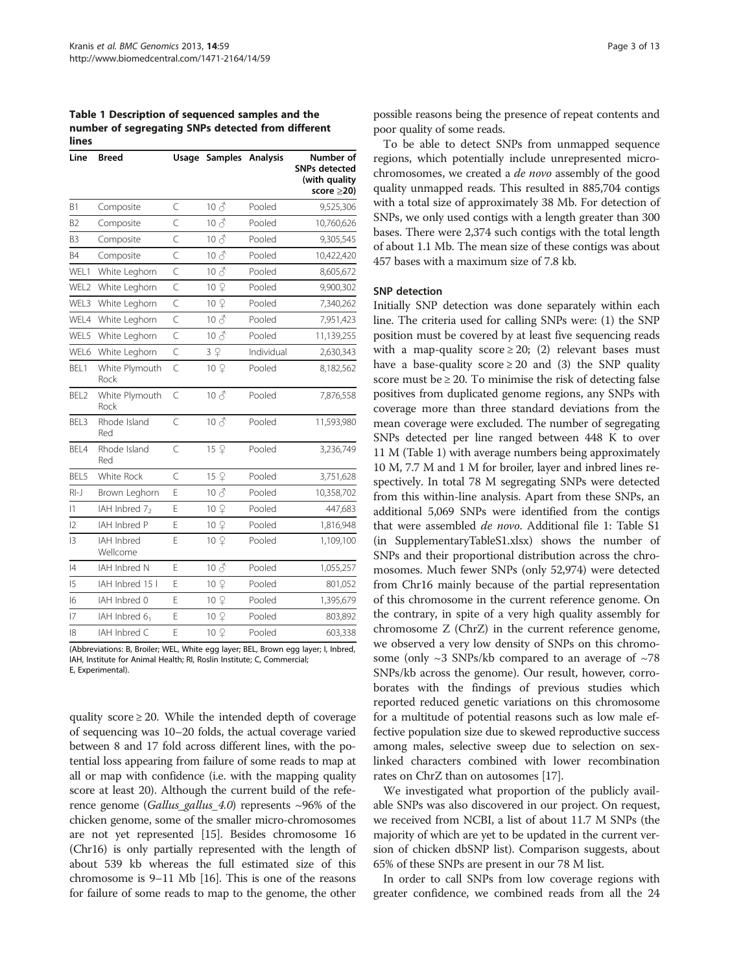<span id="page-2-0"></span>Table 1 Description of sequenced samples and the number of segregating SNPs detected from different lines

| Line             | <b>Breed</b>           | Usage          | <b>Samples</b>           | <b>Analysis</b> | Number of<br><b>SNPs detected</b><br>(with quality<br>score $\geq$ 20) |
|------------------|------------------------|----------------|--------------------------|-----------------|------------------------------------------------------------------------|
| B <sub>1</sub>   | Composite              | $\overline{C}$ | $10 \text{ }\mathcal{E}$ | Pooled          | 9,525,306                                                              |
| B <sub>2</sub>   | Composite              | $\overline{C}$ | $10 \land$               | Pooled          | 10,760,626                                                             |
| B <sub>3</sub>   | Composite              | $\overline{C}$ | $10 \land$               | Pooled          | 9,305,545                                                              |
| <b>B4</b>        | Composite              | $\overline{C}$ | $10 \land$               | Pooled          | 10,422,420                                                             |
| WEL1             | White Leghorn          | C              | $10 \text{ }\mathcal{E}$ | Pooled          | 8,605,672                                                              |
| WEL2             | White Leghorn          | C              | 10 <sup>°</sup>          | Pooled          | 9,900,302                                                              |
| WEL3             | White Leghorn          | C              | 10 오                     | Pooled          | 7,340,262                                                              |
| WEL4             | White Leghorn          | $\subset$      | $10 \delta$              | Pooled          | 7,951,423                                                              |
| WEL5             | White Leghorn          | C              | $10 \delta$              | Pooled          | 11,139,255                                                             |
| WEL6             | White Leghorn          | $\subset$      | 3Q                       | Individual      | 2,630,343                                                              |
| BEL1             | White Plymouth<br>Rock | C              | 10 <sup>2</sup>          | Pooled          | 8,182,562                                                              |
| BFI <sub>2</sub> | White Plymouth<br>Rock | $\overline{C}$ | $10 \text{ }\mathcal{E}$ | Pooled          | 7,876,558                                                              |
| BEL3             | Rhode Island<br>Red    | C              | $10 \land$               | Pooled          | 11,593,980                                                             |
| BEL4             | Rhode Island<br>Red    | $\overline{C}$ | 15 ♀                     | Pooled          | 3,236,749                                                              |
| BEL5             | White Rock             | C              | 15 ♀                     | Pooled          | 3,751,628                                                              |
| $R-I$            | Brown Leghorn          | E              | $10 \land$               | Pooled          | 10,358,702                                                             |
| 1                | IAH Inbred 72          | E              | 10 오                     | Pooled          | 447,683                                                                |
| 12               | IAH Inbred P           | E              | 10 ♀                     | Pooled          | 1,816,948                                                              |
| 3                | IAH Inbred<br>Wellcome | E              | 10Q                      | Pooled          | 1,109,100                                                              |
| 4                | IAH Inbred N           | E              | $10 \delta$              | Pooled          | 1,055,257                                                              |
| 15               | IAH Inbred 15 I        | E              | 10 ♀                     | Pooled          | 801,052                                                                |
| 16               | IAH Inbred 0           | E              | 10 <sup>°</sup>          | Pooled          | 1,395,679                                                              |
| 17               | IAH Inbred 61          | E              | 10 <sup>°</sup>          | Pooled          | 803,892                                                                |
| 18               | IAH Inbred C           | E              | 10 <sup>°</sup>          | Pooled          | 603,338                                                                |
|                  |                        |                |                          |                 |                                                                        |

(Abbreviations: B, Broiler; WEL, White egg layer; BEL, Brown egg layer; I, Inbred, IAH, Institute for Animal Health; RI, Roslin Institute; C, Commercial; E, Experimental).

quality score  $\geq 20$ . While the intended depth of coverage of sequencing was 10–20 folds, the actual coverage varied between 8 and 17 fold across different lines, with the potential loss appearing from failure of some reads to map at all or map with confidence (i.e. with the mapping quality score at least 20). Although the current build of the reference genome (Gallus gallus  $4.0$ ) represents ~96% of the chicken genome, some of the smaller micro-chromosomes are not yet represented [\[15\]](#page-11-0). Besides chromosome 16 (Chr16) is only partially represented with the length of about 539 kb whereas the full estimated size of this chromosome is 9–11 Mb [\[16\]](#page-11-0). This is one of the reasons for failure of some reads to map to the genome, the other possible reasons being the presence of repeat contents and poor quality of some reads.

To be able to detect SNPs from unmapped sequence regions, which potentially include unrepresented microchromosomes, we created a de novo assembly of the good quality unmapped reads. This resulted in 885,704 contigs with a total size of approximately 38 Mb. For detection of SNPs, we only used contigs with a length greater than 300 bases. There were 2,374 such contigs with the total length of about 1.1 Mb. The mean size of these contigs was about 457 bases with a maximum size of 7.8 kb.

# SNP detection

Initially SNP detection was done separately within each line. The criteria used for calling SNPs were: (1) the SNP position must be covered by at least five sequencing reads with a map-quality score  $\geq 20$ ; (2) relevant bases must have a base-quality score  $\geq 20$  and (3) the SNP quality score must be  $\geq 20$ . To minimise the risk of detecting false positives from duplicated genome regions, any SNPs with coverage more than three standard deviations from the mean coverage were excluded. The number of segregating SNPs detected per line ranged between 448 K to over 11 M (Table 1) with average numbers being approximately 10 M, 7.7 M and 1 M for broiler, layer and inbred lines respectively. In total 78 M segregating SNPs were detected from this within-line analysis. Apart from these SNPs, an additional 5,069 SNPs were identified from the contigs that were assembled de novo. Additional file [1](#page-11-0): Table S1 (in SupplementaryTableS1.xlsx) shows the number of SNPs and their proportional distribution across the chromosomes. Much fewer SNPs (only 52,974) were detected from Chr16 mainly because of the partial representation of this chromosome in the current reference genome. On the contrary, in spite of a very high quality assembly for chromosome Z (ChrZ) in the current reference genome, we observed a very low density of SNPs on this chromosome (only  $\sim$ 3 SNPs/kb compared to an average of  $\sim$ 78 SNPs/kb across the genome). Our result, however, corroborates with the findings of previous studies which reported reduced genetic variations on this chromosome for a multitude of potential reasons such as low male effective population size due to skewed reproductive success among males, selective sweep due to selection on sexlinked characters combined with lower recombination rates on ChrZ than on autosomes [\[17\]](#page-11-0).

We investigated what proportion of the publicly available SNPs was also discovered in our project. On request, we received from NCBI, a list of about 11.7 M SNPs (the majority of which are yet to be updated in the current version of chicken dbSNP list). Comparison suggests, about 65% of these SNPs are present in our 78 M list.

In order to call SNPs from low coverage regions with greater confidence, we combined reads from all the 24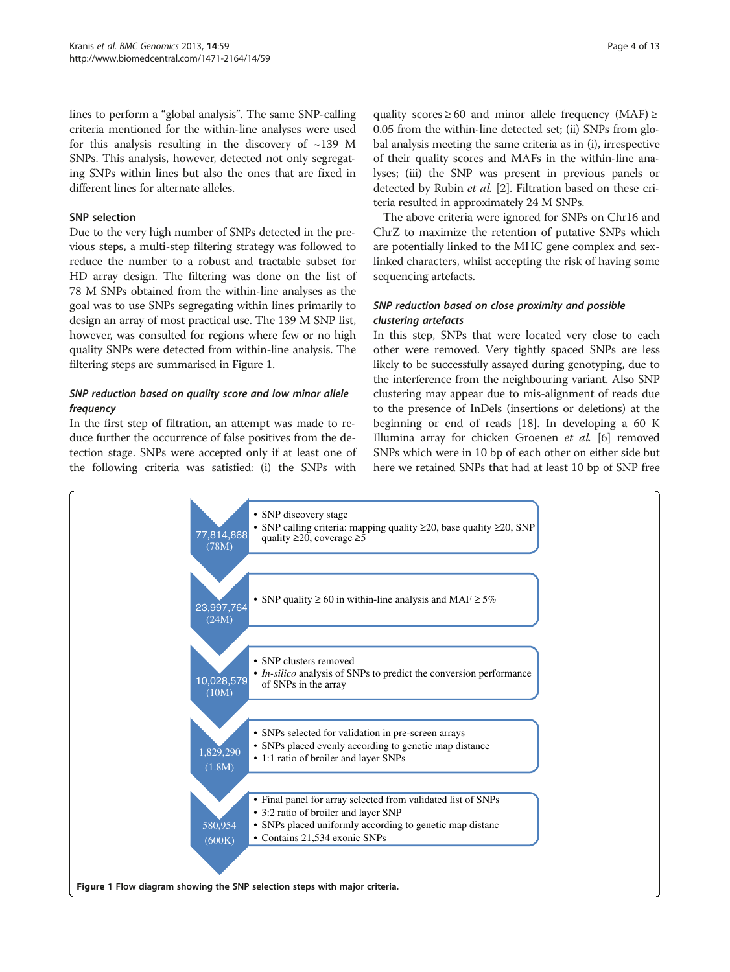lines to perform a "global analysis". The same SNP-calling criteria mentioned for the within-line analyses were used for this analysis resulting in the discovery of  $\sim$ 139 M SNPs. This analysis, however, detected not only segregating SNPs within lines but also the ones that are fixed in different lines for alternate alleles.

# SNP selection

Due to the very high number of SNPs detected in the previous steps, a multi-step filtering strategy was followed to reduce the number to a robust and tractable subset for HD array design. The filtering was done on the list of 78 M SNPs obtained from the within-line analyses as the goal was to use SNPs segregating within lines primarily to design an array of most practical use. The 139 M SNP list, however, was consulted for regions where few or no high quality SNPs were detected from within-line analysis. The filtering steps are summarised in Figure 1.

# SNP reduction based on quality score and low minor allele frequency

In the first step of filtration, an attempt was made to reduce further the occurrence of false positives from the detection stage. SNPs were accepted only if at least one of the following criteria was satisfied: (i) the SNPs with

quality scores  $\geq 60$  and minor allele frequency (MAF)  $\geq$ 0.05 from the within-line detected set; (ii) SNPs from global analysis meeting the same criteria as in (i), irrespective of their quality scores and MAFs in the within-line analyses; (iii) the SNP was present in previous panels or detected by Rubin et al. [\[2](#page-11-0)]. Filtration based on these criteria resulted in approximately 24 M SNPs.

The above criteria were ignored for SNPs on Chr16 and ChrZ to maximize the retention of putative SNPs which are potentially linked to the MHC gene complex and sexlinked characters, whilst accepting the risk of having some sequencing artefacts.

# SNP reduction based on close proximity and possible clustering artefacts

In this step, SNPs that were located very close to each other were removed. Very tightly spaced SNPs are less likely to be successfully assayed during genotyping, due to the interference from the neighbouring variant. Also SNP clustering may appear due to mis-alignment of reads due to the presence of InDels (insertions or deletions) at the beginning or end of reads [\[18](#page-11-0)]. In developing a 60 K Illumina array for chicken Groenen et al. [[6\]](#page-11-0) removed SNPs which were in 10 bp of each other on either side but here we retained SNPs that had at least 10 bp of SNP free

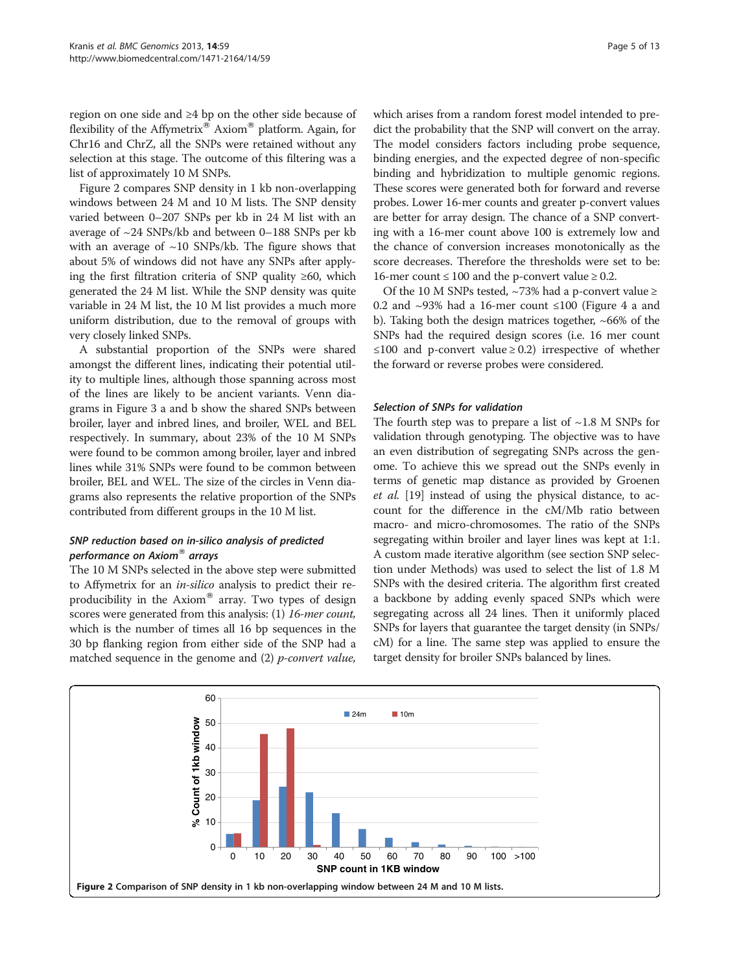region on one side and ≥4 bp on the other side because of flexibility of the Affymetrix® Axiom® platform. Again, for Chr16 and ChrZ, all the SNPs were retained without any selection at this stage. The outcome of this filtering was a list of approximately 10 M SNPs.

Figure 2 compares SNP density in 1 kb non-overlapping windows between 24 M and 10 M lists. The SNP density varied between 0–207 SNPs per kb in 24 M list with an average of ~24 SNPs/kb and between 0–188 SNPs per kb with an average of ~10 SNPs/kb. The figure shows that about 5% of windows did not have any SNPs after applying the first filtration criteria of SNP quality ≥60, which generated the 24 M list. While the SNP density was quite variable in 24 M list, the 10 M list provides a much more uniform distribution, due to the removal of groups with very closely linked SNPs.

A substantial proportion of the SNPs were shared amongst the different lines, indicating their potential utility to multiple lines, although those spanning across most of the lines are likely to be ancient variants. Venn diagrams in Figure [3](#page-5-0) a and b show the shared SNPs between broiler, layer and inbred lines, and broiler, WEL and BEL respectively. In summary, about 23% of the 10 M SNPs were found to be common among broiler, layer and inbred lines while 31% SNPs were found to be common between broiler, BEL and WEL. The size of the circles in Venn diagrams also represents the relative proportion of the SNPs contributed from different groups in the 10 M list.

# SNP reduction based on in-silico analysis of predicted performance on Axiom $^{\circledR}$  arrays

The 10 M SNPs selected in the above step were submitted to Affymetrix for an in-silico analysis to predict their reproducibility in the Axiom $^{\circledR}$  array. Two types of design scores were generated from this analysis: (1) 16-mer count, which is the number of times all 16 bp sequences in the 30 bp flanking region from either side of the SNP had a matched sequence in the genome and  $(2)$  *p*-convert value,

which arises from a random forest model intended to predict the probability that the SNP will convert on the array. The model considers factors including probe sequence, binding energies, and the expected degree of non-specific binding and hybridization to multiple genomic regions. These scores were generated both for forward and reverse probes. Lower 16-mer counts and greater p-convert values are better for array design. The chance of a SNP converting with a 16-mer count above 100 is extremely low and the chance of conversion increases monotonically as the score decreases. Therefore the thresholds were set to be: 16-mer count  $\leq 100$  and the p-convert value  $\geq 0.2$ .

Of the 10 M SNPs tested, ~73% had a p-convert value  $\geq$ 0.2 and ~93% had a 16-mer count ≤100 (Figure [4](#page-5-0) a and b). Taking both the design matrices together,  $~66\%$  of the SNPs had the required design scores (i.e. 16 mer count ≤100 and p-convert value ≥ 0.2) irrespective of whether the forward or reverse probes were considered.

# Selection of SNPs for validation

The fourth step was to prepare a list of  $\sim$ 1.8 M SNPs for validation through genotyping. The objective was to have an even distribution of segregating SNPs across the genome. To achieve this we spread out the SNPs evenly in terms of genetic map distance as provided by Groenen et al. [[19](#page-11-0)] instead of using the physical distance, to account for the difference in the cM/Mb ratio between macro- and micro-chromosomes. The ratio of the SNPs segregating within broiler and layer lines was kept at 1:1. A custom made iterative algorithm (see section SNP selection under Methods) was used to select the list of 1.8 M SNPs with the desired criteria. The algorithm first created a backbone by adding evenly spaced SNPs which were segregating across all 24 lines. Then it uniformly placed SNPs for layers that guarantee the target density (in SNPs/ cM) for a line. The same step was applied to ensure the target density for broiler SNPs balanced by lines.

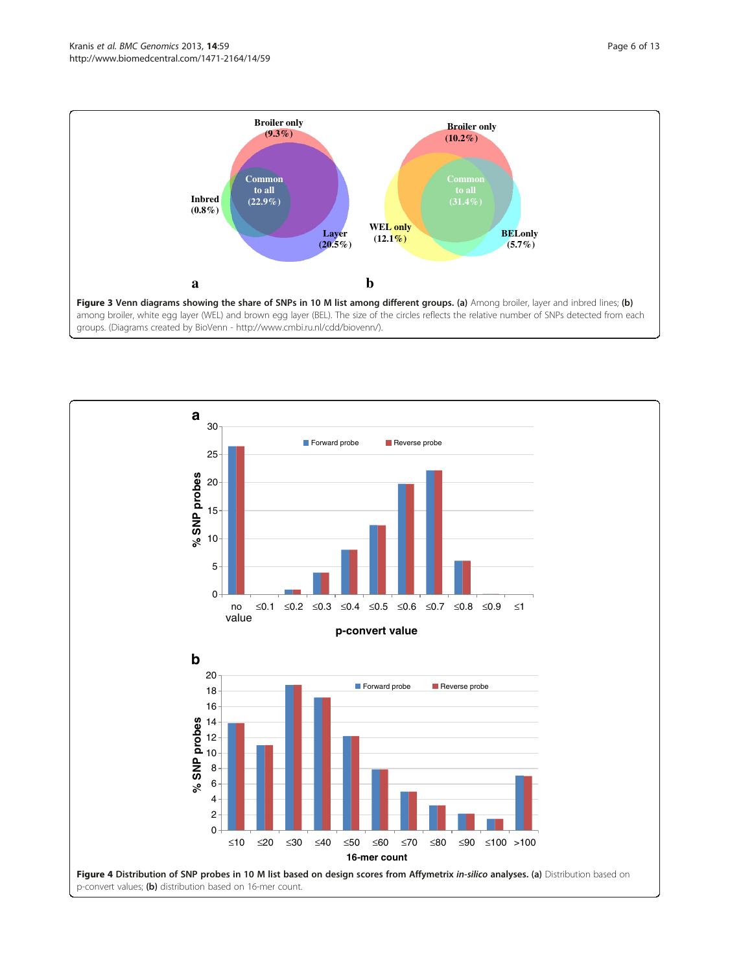<span id="page-5-0"></span>

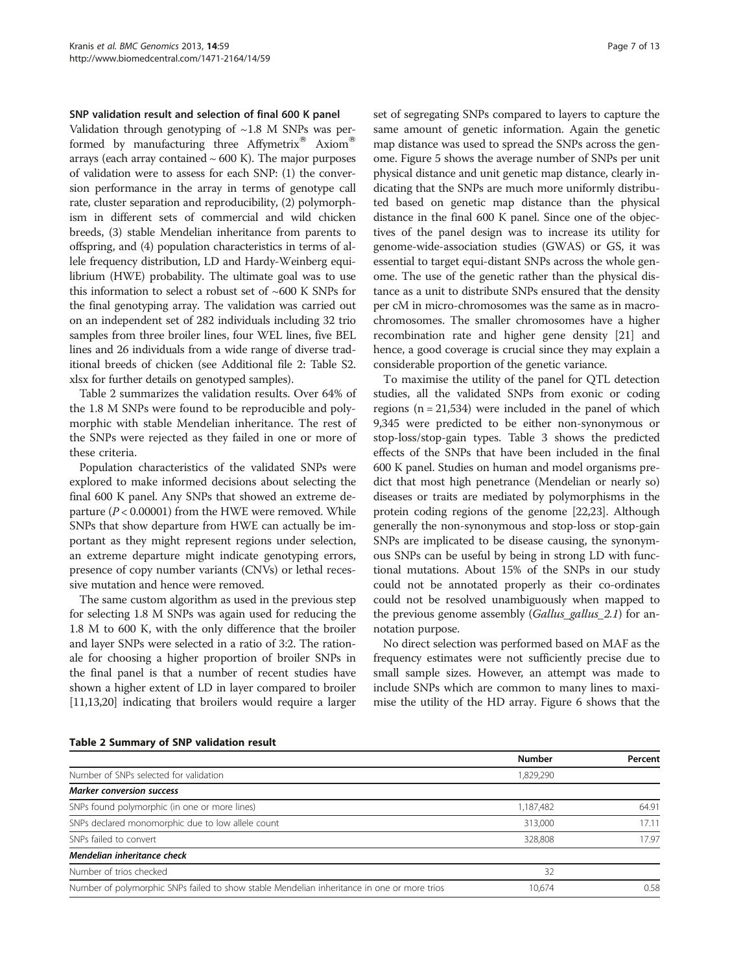# SNP validation result and selection of final 600 K panel

Validation through genotyping of  $~1.8$  M SNPs was performed by manufacturing three Affymetrix<sup>®</sup> Axiom<sup>®</sup> arrays (each array contained  $\sim$  600 K). The major purposes of validation were to assess for each SNP: (1) the conversion performance in the array in terms of genotype call rate, cluster separation and reproducibility, (2) polymorphism in different sets of commercial and wild chicken breeds, (3) stable Mendelian inheritance from parents to offspring, and (4) population characteristics in terms of allele frequency distribution, LD and Hardy-Weinberg equilibrium (HWE) probability. The ultimate goal was to use this information to select a robust set of  $~600$  K SNPs for the final genotyping array. The validation was carried out on an independent set of 282 individuals including 32 trio samples from three broiler lines, four WEL lines, five BEL lines and 26 individuals from a wide range of diverse traditional breeds of chicken (see Additional file [2](#page-11-0): Table S2. xlsx for further details on genotyped samples).

Table 2 summarizes the validation results. Over 64% of the 1.8 M SNPs were found to be reproducible and polymorphic with stable Mendelian inheritance. The rest of the SNPs were rejected as they failed in one or more of these criteria.

Population characteristics of the validated SNPs were explored to make informed decisions about selecting the final 600 K panel. Any SNPs that showed an extreme departure  $(P < 0.00001)$  from the HWE were removed. While SNPs that show departure from HWE can actually be important as they might represent regions under selection, an extreme departure might indicate genotyping errors, presence of copy number variants (CNVs) or lethal recessive mutation and hence were removed.

The same custom algorithm as used in the previous step for selecting 1.8 M SNPs was again used for reducing the 1.8 M to 600 K, with the only difference that the broiler and layer SNPs were selected in a ratio of 3:2. The rationale for choosing a higher proportion of broiler SNPs in the final panel is that a number of recent studies have shown a higher extent of LD in layer compared to broiler [[11,13,20\]](#page-11-0) indicating that broilers would require a larger set of segregating SNPs compared to layers to capture the same amount of genetic information. Again the genetic map distance was used to spread the SNPs across the genome. Figure [5](#page-7-0) shows the average number of SNPs per unit physical distance and unit genetic map distance, clearly indicating that the SNPs are much more uniformly distributed based on genetic map distance than the physical distance in the final 600 K panel. Since one of the objectives of the panel design was to increase its utility for genome-wide-association studies (GWAS) or GS, it was essential to target equi-distant SNPs across the whole genome. The use of the genetic rather than the physical distance as a unit to distribute SNPs ensured that the density per cM in micro-chromosomes was the same as in macrochromosomes. The smaller chromosomes have a higher recombination rate and higher gene density [[21\]](#page-12-0) and hence, a good coverage is crucial since they may explain a considerable proportion of the genetic variance.

To maximise the utility of the panel for QTL detection studies, all the validated SNPs from exonic or coding regions  $(n = 21,534)$  were included in the panel of which 9,345 were predicted to be either non-synonymous or stop-loss/stop-gain types. Table [3](#page-7-0) shows the predicted effects of the SNPs that have been included in the final 600 K panel. Studies on human and model organisms predict that most high penetrance (Mendelian or nearly so) diseases or traits are mediated by polymorphisms in the protein coding regions of the genome [\[22,23](#page-12-0)]. Although generally the non-synonymous and stop-loss or stop-gain SNPs are implicated to be disease causing, the synonymous SNPs can be useful by being in strong LD with functional mutations. About 15% of the SNPs in our study could not be annotated properly as their co-ordinates could not be resolved unambiguously when mapped to the previous genome assembly (Gallus\_gallus\_2.1) for annotation purpose.

No direct selection was performed based on MAF as the frequency estimates were not sufficiently precise due to small sample sizes. However, an attempt was made to include SNPs which are common to many lines to maximise the utility of the HD array. Figure [6](#page-8-0) shows that the

|                                                                                             | <b>Number</b> | Percent |
|---------------------------------------------------------------------------------------------|---------------|---------|
| Number of SNPs selected for validation                                                      | 1,829,290     |         |
| <b>Marker conversion success</b>                                                            |               |         |
| SNPs found polymorphic (in one or more lines)                                               | 1,187,482     | 64.91   |
| SNPs declared monomorphic due to low allele count                                           | 313,000       | 17.11   |
| SNPs failed to convert                                                                      | 328.808       | 17.97   |
| Mendelian inheritance check                                                                 |               |         |
| Number of trios checked                                                                     | 32            |         |
| Number of polymorphic SNPs failed to show stable Mendelian inheritance in one or more trios | 10.674        | 0.58    |

# Table 2 Summary of SNP validation result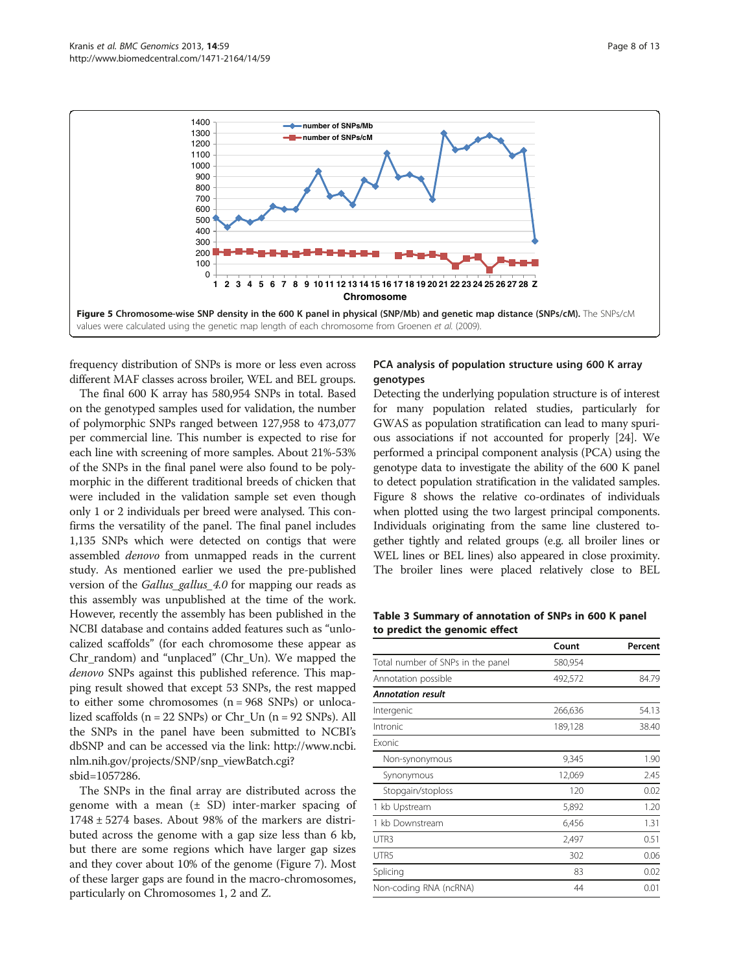<span id="page-7-0"></span>

frequency distribution of SNPs is more or less even across different MAF classes across broiler, WEL and BEL groups.

The final 600 K array has 580,954 SNPs in total. Based on the genotyped samples used for validation, the number of polymorphic SNPs ranged between 127,958 to 473,077 per commercial line. This number is expected to rise for each line with screening of more samples. About 21%-53% of the SNPs in the final panel were also found to be polymorphic in the different traditional breeds of chicken that were included in the validation sample set even though only 1 or 2 individuals per breed were analysed. This confirms the versatility of the panel. The final panel includes 1,135 SNPs which were detected on contigs that were assembled denovo from unmapped reads in the current study. As mentioned earlier we used the pre-published version of the Gallus\_gallus\_4.0 for mapping our reads as this assembly was unpublished at the time of the work. However, recently the assembly has been published in the NCBI database and contains added features such as "unlocalized scaffolds" (for each chromosome these appear as Chr\_random) and "unplaced" (Chr\_Un). We mapped the denovo SNPs against this published reference. This mapping result showed that except 53 SNPs, the rest mapped to either some chromosomes  $(n = 968$  SNPs) or unlocalized scaffolds (n = 22 SNPs) or Chr\_Un (n = 92 SNPs). All the SNPs in the panel have been submitted to NCBI's dbSNP and can be accessed via the link: [http://www.ncbi.](http://www.ncbi.nlm.nih.gov/projects/SNP/snp_viewBatch.cgi?sbid=1057286) [nlm.nih.gov/projects/SNP/snp\\_viewBatch.cgi?](http://www.ncbi.nlm.nih.gov/projects/SNP/snp_viewBatch.cgi?sbid=1057286) [sbid=1057286](http://www.ncbi.nlm.nih.gov/projects/SNP/snp_viewBatch.cgi?sbid=1057286).

The SNPs in the final array are distributed across the genome with a mean  $(\pm SD)$  inter-marker spacing of 1748 ± 5274 bases. About 98% of the markers are distributed across the genome with a gap size less than 6 kb, but there are some regions which have larger gap sizes and they cover about 10% of the genome (Figure [7](#page-8-0)). Most of these larger gaps are found in the macro-chromosomes, particularly on Chromosomes 1, 2 and Z.

# PCA analysis of population structure using 600 K array genotypes

Detecting the underlying population structure is of interest for many population related studies, particularly for GWAS as population stratification can lead to many spurious associations if not accounted for properly [\[24\]](#page-12-0). We performed a principal component analysis (PCA) using the genotype data to investigate the ability of the 600 K panel to detect population stratification in the validated samples. Figure [8](#page-9-0) shows the relative co-ordinates of individuals when plotted using the two largest principal components. Individuals originating from the same line clustered together tightly and related groups (e.g. all broiler lines or WEL lines or BEL lines) also appeared in close proximity. The broiler lines were placed relatively close to BEL

# Table 3 Summary of annotation of SNPs in 600 K panel to predict the genomic effect

|                                   | Count   | Percent |
|-----------------------------------|---------|---------|
| Total number of SNPs in the panel | 580,954 |         |
| Annotation possible               | 492,572 | 84.79   |
| <b>Annotation result</b>          |         |         |
| Intergenic                        | 266,636 | 54.13   |
| Intronic                          | 189,128 | 38.40   |
| Exonic                            |         |         |
| Non-synonymous                    | 9,345   | 1.90    |
| Synonymous                        | 12,069  | 2.45    |
| Stopgain/stoploss                 | 120     | 0.02    |
| 1 kb Upstream                     | 5,892   | 1.20    |
| 1 kb Downstream                   | 6,456   | 1.31    |
| UTR <sub>3</sub>                  | 2,497   | 0.51    |
| UTR5                              | 302     | 0.06    |
| Splicing                          | 83      | 0.02    |
| Non-coding RNA (ncRNA)            | 44      | 0.01    |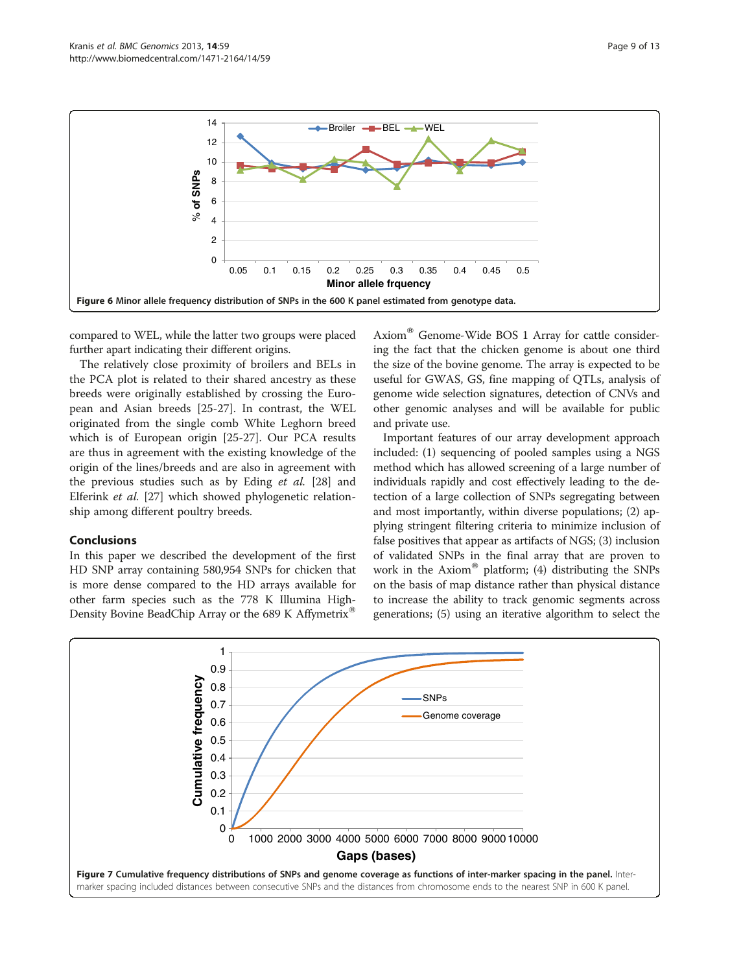<span id="page-8-0"></span>

compared to WEL, while the latter two groups were placed further apart indicating their different origins.

The relatively close proximity of broilers and BELs in the PCA plot is related to their shared ancestry as these breeds were originally established by crossing the European and Asian breeds [\[25-27](#page-12-0)]. In contrast, the WEL originated from the single comb White Leghorn breed which is of European origin [\[25-27](#page-12-0)]. Our PCA results are thus in agreement with the existing knowledge of the origin of the lines/breeds and are also in agreement with the previous studies such as by Eding et al. [[28](#page-12-0)] and Elferink et al. [[27\]](#page-12-0) which showed phylogenetic relationship among different poultry breeds.

# Conclusions

In this paper we described the development of the first HD SNP array containing 580,954 SNPs for chicken that is more dense compared to the HD arrays available for other farm species such as the 778 K Illumina High-Density Bovine BeadChip Array or the 689 K Affymetrix<sup>®</sup>

Axiom<sup>®</sup> Genome-Wide BOS 1 Array for cattle considering the fact that the chicken genome is about one third the size of the bovine genome. The array is expected to be useful for GWAS, GS, fine mapping of QTLs, analysis of genome wide selection signatures, detection of CNVs and other genomic analyses and will be available for public and private use.

Important features of our array development approach included: (1) sequencing of pooled samples using a NGS method which has allowed screening of a large number of individuals rapidly and cost effectively leading to the detection of a large collection of SNPs segregating between and most importantly, within diverse populations; (2) applying stringent filtering criteria to minimize inclusion of false positives that appear as artifacts of NGS; (3) inclusion of validated SNPs in the final array that are proven to work in the Axiom<sup>®</sup> platform; (4) distributing the SNPs on the basis of map distance rather than physical distance to increase the ability to track genomic segments across generations; (5) using an iterative algorithm to select the

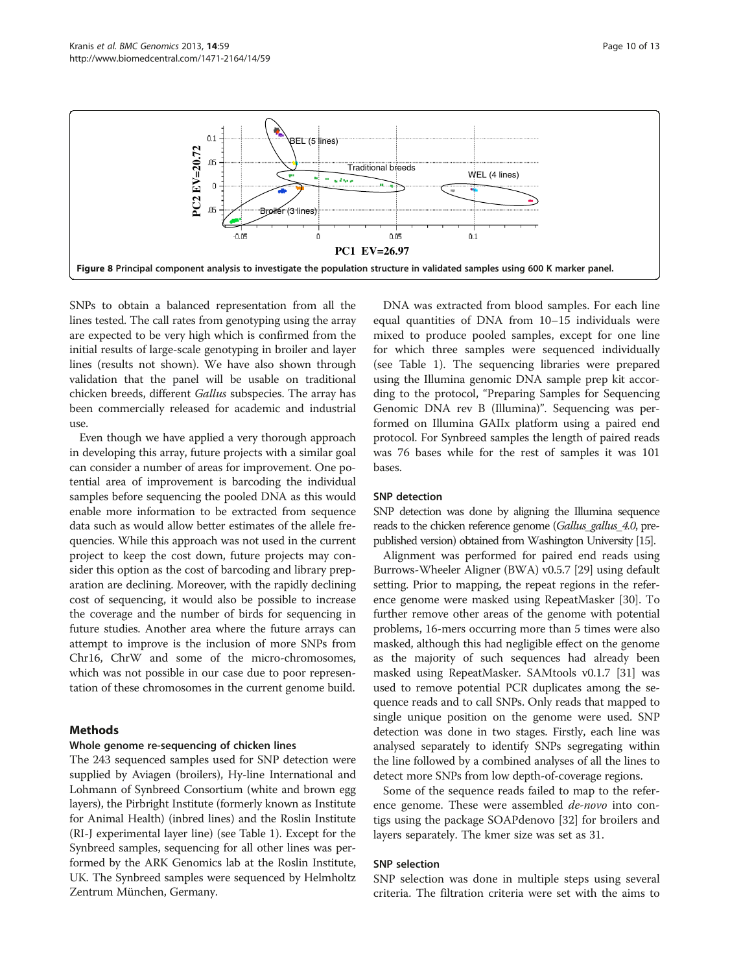<span id="page-9-0"></span>

SNPs to obtain a balanced representation from all the lines tested. The call rates from genotyping using the array are expected to be very high which is confirmed from the initial results of large-scale genotyping in broiler and layer lines (results not shown). We have also shown through validation that the panel will be usable on traditional chicken breeds, different Gallus subspecies. The array has been commercially released for academic and industrial use.

Even though we have applied a very thorough approach in developing this array, future projects with a similar goal can consider a number of areas for improvement. One potential area of improvement is barcoding the individual samples before sequencing the pooled DNA as this would enable more information to be extracted from sequence data such as would allow better estimates of the allele frequencies. While this approach was not used in the current project to keep the cost down, future projects may consider this option as the cost of barcoding and library preparation are declining. Moreover, with the rapidly declining cost of sequencing, it would also be possible to increase the coverage and the number of birds for sequencing in future studies. Another area where the future arrays can attempt to improve is the inclusion of more SNPs from Chr16, ChrW and some of the micro-chromosomes, which was not possible in our case due to poor representation of these chromosomes in the current genome build.

# **Methods**

# Whole genome re-sequencing of chicken lines

The 243 sequenced samples used for SNP detection were supplied by Aviagen (broilers), Hy-line International and Lohmann of Synbreed Consortium (white and brown egg layers), the Pirbright Institute (formerly known as Institute for Animal Health) (inbred lines) and the Roslin Institute (RI-J experimental layer line) (see Table [1\)](#page-2-0). Except for the Synbreed samples, sequencing for all other lines was performed by the ARK Genomics lab at the Roslin Institute, UK. The Synbreed samples were sequenced by Helmholtz Zentrum München, Germany.

DNA was extracted from blood samples. For each line equal quantities of DNA from 10–15 individuals were mixed to produce pooled samples, except for one line for which three samples were sequenced individually (see Table [1\)](#page-2-0). The sequencing libraries were prepared using the Illumina genomic DNA sample prep kit according to the protocol, "Preparing Samples for Sequencing Genomic DNA rev B (Illumina)". Sequencing was performed on Illumina GAIIx platform using a paired end protocol. For Synbreed samples the length of paired reads was 76 bases while for the rest of samples it was 101 bases.

# SNP detection

SNP detection was done by aligning the Illumina sequence reads to the chicken reference genome (Gallus\_gallus\_4.0, prepublished version) obtained from Washington University [\[15\]](#page-11-0).

Alignment was performed for paired end reads using Burrows-Wheeler Aligner (BWA) v0.5.7 [[29](#page-12-0)] using default setting. Prior to mapping, the repeat regions in the reference genome were masked using RepeatMasker [\[30](#page-12-0)]. To further remove other areas of the genome with potential problems, 16-mers occurring more than 5 times were also masked, although this had negligible effect on the genome as the majority of such sequences had already been masked using RepeatMasker. SAMtools v0.1.7 [\[31\]](#page-12-0) was used to remove potential PCR duplicates among the sequence reads and to call SNPs. Only reads that mapped to single unique position on the genome were used. SNP detection was done in two stages. Firstly, each line was analysed separately to identify SNPs segregating within the line followed by a combined analyses of all the lines to detect more SNPs from low depth-of-coverage regions.

Some of the sequence reads failed to map to the reference genome. These were assembled *de-novo* into contigs using the package SOAPdenovo [\[32\]](#page-12-0) for broilers and layers separately. The kmer size was set as 31.

# SNP selection

SNP selection was done in multiple steps using several criteria. The filtration criteria were set with the aims to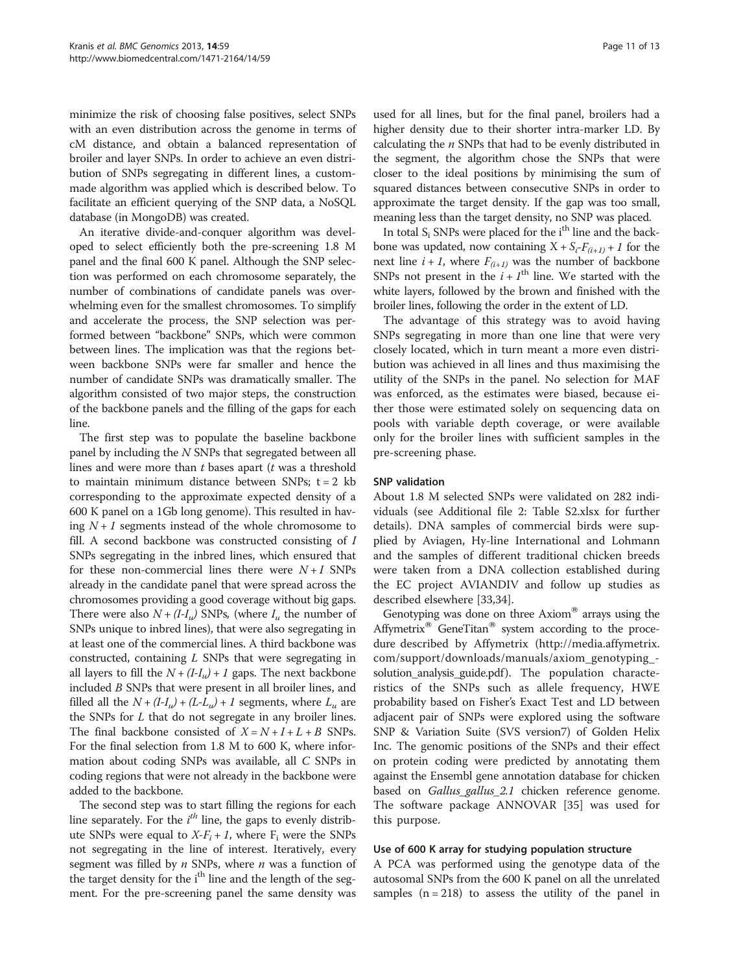minimize the risk of choosing false positives, select SNPs with an even distribution across the genome in terms of cM distance, and obtain a balanced representation of broiler and layer SNPs. In order to achieve an even distribution of SNPs segregating in different lines, a custommade algorithm was applied which is described below. To facilitate an efficient querying of the SNP data, a NoSQL database (in MongoDB) was created.

An iterative divide-and-conquer algorithm was developed to select efficiently both the pre-screening 1.8 M panel and the final 600 K panel. Although the SNP selection was performed on each chromosome separately, the number of combinations of candidate panels was overwhelming even for the smallest chromosomes. To simplify and accelerate the process, the SNP selection was performed between "backbone" SNPs, which were common between lines. The implication was that the regions between backbone SNPs were far smaller and hence the number of candidate SNPs was dramatically smaller. The algorithm consisted of two major steps, the construction of the backbone panels and the filling of the gaps for each line.

The first step was to populate the baseline backbone panel by including the N SNPs that segregated between all lines and were more than  $t$  bases apart ( $t$  was a threshold to maintain minimum distance between SNPs;  $t = 2$  kb corresponding to the approximate expected density of a 600 K panel on a 1Gb long genome). This resulted in having  $N+1$  segments instead of the whole chromosome to fill. A second backbone was constructed consisting of I SNPs segregating in the inbred lines, which ensured that for these non-commercial lines there were  $N+I$  SNPs already in the candidate panel that were spread across the chromosomes providing a good coverage without big gaps. There were also  $N + (I-I_u)$  SNPs, (where  $I_u$  the number of SNPs unique to inbred lines), that were also segregating in at least one of the commercial lines. A third backbone was constructed, containing L SNPs that were segregating in all layers to fill the  $N + (I-I<sub>u</sub>) + 1$  gaps. The next backbone included B SNPs that were present in all broiler lines, and filled all the  $N + (I-I_u) + (L-I_u) + 1$  segments, where  $L_u$  are the SNPs for L that do not segregate in any broiler lines. The final backbone consisted of  $X = N + I + L + B$  SNPs. For the final selection from 1.8 M to 600 K, where information about coding SNPs was available, all C SNPs in coding regions that were not already in the backbone were added to the backbone.

The second step was to start filling the regions for each line separately. For the  $i^{th}$  line, the gaps to evenly distribute SNPs were equal to  $X-F_i+1$ , where  $F_i$  were the SNPs not segregating in the line of interest. Iteratively, every segment was filled by  $n$  SNPs, where  $n$  was a function of the target density for the i<sup>th</sup> line and the length of the segment. For the pre-screening panel the same density was

used for all lines, but for the final panel, broilers had a higher density due to their shorter intra-marker LD. By calculating the  $n$  SNPs that had to be evenly distributed in the segment, the algorithm chose the SNPs that were closer to the ideal positions by minimising the sum of squared distances between consecutive SNPs in order to approximate the target density. If the gap was too small, meaning less than the target density, no SNP was placed.

In total  $S_i$  SNPs were placed for the i<sup>th</sup> line and the backbone was updated, now containing  $X + S_i - F_{(i+1)} + 1$  for the next line  $i+1$ , where  $F_{(i+1)}$  was the number of backbone SNPs not present in the  $i+1$ <sup>th</sup> line. We started with the white layers, followed by the brown and finished with the broiler lines, following the order in the extent of LD.

The advantage of this strategy was to avoid having SNPs segregating in more than one line that were very closely located, which in turn meant a more even distribution was achieved in all lines and thus maximising the utility of the SNPs in the panel. No selection for MAF was enforced, as the estimates were biased, because either those were estimated solely on sequencing data on pools with variable depth coverage, or were available only for the broiler lines with sufficient samples in the pre-screening phase.

# SNP validation

About 1.8 M selected SNPs were validated on 282 individuals (see Additional file [2:](#page-11-0) Table S2.xlsx for further details). DNA samples of commercial birds were supplied by Aviagen, Hy-line International and Lohmann and the samples of different traditional chicken breeds were taken from a DNA collection established during the EC project AVIANDIV and follow up studies as described elsewhere [\[33,34](#page-12-0)].

Genotyping was done on three  $Axiom^@$  arrays using the Affymetrix<sup>®</sup> GeneTitan<sup>®</sup> system according to the procedure described by Affymetrix ([http://media.affymetrix.](http://media.affymetrix.com/support/downloads/manuals/axiom_genotyping_solution_analysis_guide.pdf) [com/support/downloads/manuals/axiom\\_genotyping\\_](http://media.affymetrix.com/support/downloads/manuals/axiom_genotyping_solution_analysis_guide.pdf) [solution\\_analysis\\_guide.pdf](http://media.affymetrix.com/support/downloads/manuals/axiom_genotyping_solution_analysis_guide.pdf) ). The population characteristics of the SNPs such as allele frequency, HWE probability based on Fisher's Exact Test and LD between adjacent pair of SNPs were explored using the software SNP & Variation Suite (SVS version7) of Golden Helix Inc. The genomic positions of the SNPs and their effect on protein coding were predicted by annotating them against the Ensembl gene annotation database for chicken based on Gallus\_gallus\_2.1 chicken reference genome. The software package ANNOVAR [[35\]](#page-12-0) was used for this purpose.

## Use of 600 K array for studying population structure

A PCA was performed using the genotype data of the autosomal SNPs from the 600 K panel on all the unrelated samples  $(n = 218)$  to assess the utility of the panel in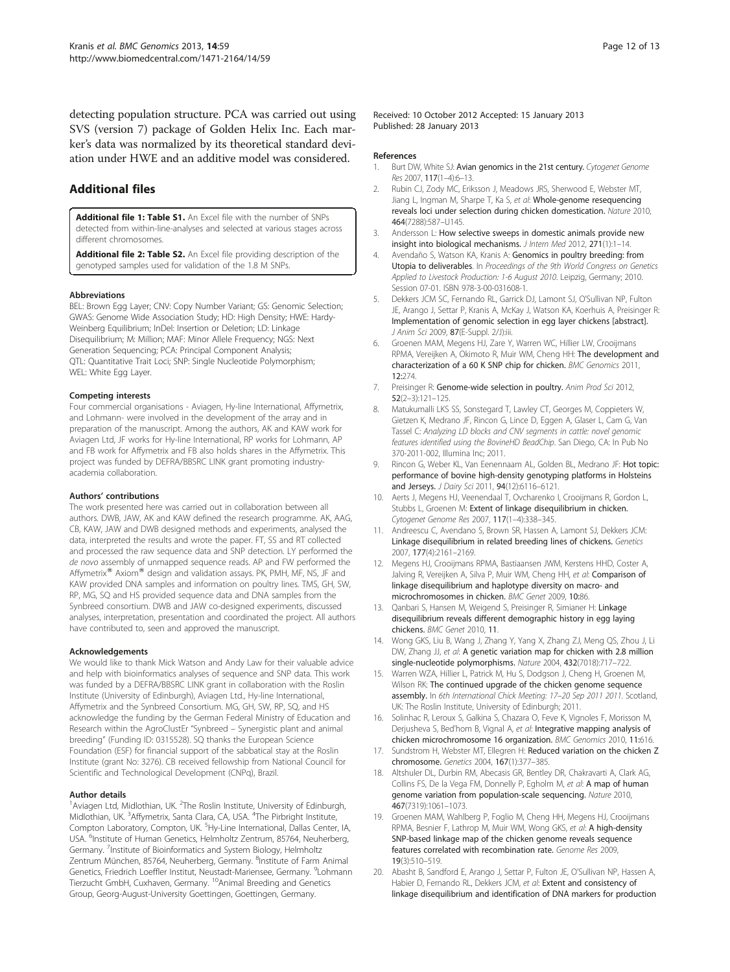<span id="page-11-0"></span>detecting population structure. PCA was carried out using SVS (version 7) package of Golden Helix Inc. Each marker's data was normalized by its theoretical standard deviation under HWE and an additive model was considered.

# Additional files

[Additional file 1: Table S1.](http://www.biomedcentral.com/content/supplementary/1471-2164-14-59-S1.xlsx) An Excel file with the number of SNPs detected from within-line-analyses and selected at various stages across different chromosomes.

[Additional file 2: Table S2.](http://www.biomedcentral.com/content/supplementary/1471-2164-14-59-S2.xlsx) An Excel file providing description of the genotyped samples used for validation of the 1.8 M SNPs.

# Abbreviations

BEL: Brown Egg Layer; CNV: Copy Number Variant; GS: Genomic Selection; GWAS: Genome Wide Association Study; HD: High Density; HWE: Hardy-Weinberg Equilibrium; InDel: Insertion or Deletion; LD: Linkage Disequilibrium; M: Million; MAF: Minor Allele Frequency; NGS: Next Generation Sequencing; PCA: Principal Component Analysis; QTL: Quantitative Trait Loci; SNP: Single Nucleotide Polymorphism; WEL: White Egg Layer.

## Competing interests

Four commercial organisations - Aviagen, Hy-line International, Affymetrix, and Lohmann- were involved in the development of the array and in preparation of the manuscript. Among the authors, AK and KAW work for Aviagen Ltd, JF works for Hy-line International, RP works for Lohmann, AP and FB work for Affymetrix and FB also holds shares in the Affymetrix. This project was funded by DEFRA/BBSRC LINK grant promoting industryacademia collaboration.

## Authors' contributions

The work presented here was carried out in collaboration between all authors. DWB, JAW, AK and KAW defined the research programme. AK, AAG, CB, KAW, JAW and DWB designed methods and experiments, analysed the data, interpreted the results and wrote the paper. FT, SS and RT collected and processed the raw sequence data and SNP detection. LY performed the de novo assembly of unmapped sequence reads. AP and FW performed the Affymetrix<sup>®</sup> Axiom<sup>®</sup> design and validation assays. PK, PMH, MF, NS, JF and KAW provided DNA samples and information on poultry lines. TMS, GH, SW, RP, MG, SQ and HS provided sequence data and DNA samples from the Synbreed consortium. DWB and JAW co-designed experiments, discussed analyses, interpretation, presentation and coordinated the project. All authors have contributed to, seen and approved the manuscript.

## Acknowledgements

We would like to thank Mick Watson and Andy Law for their valuable advice and help with bioinformatics analyses of sequence and SNP data. This work was funded by a DEFRA/BBSRC LINK grant in collaboration with the Roslin Institute (University of Edinburgh), Aviagen Ltd., Hy-line International, Affymetrix and the Synbreed Consortium. MG, GH, SW, RP, SQ, and HS acknowledge the funding by the German Federal Ministry of Education and Research within the AgroClustEr "Synbreed – Synergistic plant and animal breeding" (Funding ID: 0315528). SQ thanks the European Science Foundation (ESF) for financial support of the sabbatical stay at the Roslin Institute (grant No: 3276). CB received fellowship from National Council for Scientific and Technological Development (CNPq), Brazil.

## Author details

<sup>1</sup> Aviagen Ltd, Midlothian, UK. <sup>2</sup> The Roslin Institute, University of Edinburgh, Midlothian, UK. <sup>3</sup>Affymetrix, Santa Clara, CA, USA. <sup>4</sup>The Pirbright Institute, Compton Laboratory, Compton, UK. <sup>5</sup>Hy-Line International, Dallas Center, IA, USA. <sup>6</sup>Institute of Human Genetics, Helmholtz Zentrum, 85764, Neuherberg, Germany. <sup>7</sup>Institute of Bioinformatics and System Biology, Helmholtz Zentrum München, 85764, Neuherberg, Germany. <sup>8</sup>Institute of Farm Animal Genetics, Friedrich Loeffler Institut, Neustadt-Mariensee, Germany. <sup>9</sup>Lohmann Tierzucht GmbH, Cuxhaven, Germany. 10Animal Breeding and Genetics Group, Georg-August-University Goettingen, Goettingen, Germany.

Received: 10 October 2012 Accepted: 15 January 2013 Published: 28 January 2013

#### References

- Burt DW, White SJ: Avian genomics in the 21st century. Cytogenet Genome Res 2007, 117(1–4):6–13.
- 2. Rubin CJ, Zody MC, Eriksson J, Meadows JRS, Sherwood E, Webster MT, Jiang L, Ingman M, Sharpe T, Ka S, et al: Whole-genome resequencing reveals loci under selection during chicken domestication. Nature 2010, 464(7288):587–U145.
- 3. Andersson L: How selective sweeps in domestic animals provide new insight into biological mechanisms. J Intern Med 2012, 271(1):1–14.
- 4. Avendaño S, Watson KA, Kranis A: Genomics in poultry breeding: from Utopia to deliverables. In Proceedings of the 9th World Congress on Genetics Applied to Livestock Production: 1-6 August 2010. Leipzig, Germany; 2010. Session 07-01. ISBN 978-3-00-031608-1.
- 5. Dekkers JCM SC, Fernando RL, Garrick DJ, Lamont SJ, O'Sullivan NP, Fulton JE, Arango J, Settar P, Kranis A, McKay J, Watson KA, Koerhuis A, Preisinger R: Implementation of genomic selection in egg layer chickens [abstract]. J Anim Sci 2009, 87(E-Suppl. 2/J):iii.
- 6. Groenen MAM, Megens HJ, Zare Y, Warren WC, Hillier LW, Crooijmans RPMA, Vereijken A, Okimoto R, Muir WM, Cheng HH: The development and characterization of a 60 K SNP chip for chicken. BMC Genomics 2011, 12:274.
- 7. Preisinger R: Genome-wide selection in poultry. Anim Prod Sci 2012, 52(2–3):121–125.
- 8. Matukumalli LKS SS, Sonstegard T, Lawley CT, Georges M, Coppieters W, Gietzen K, Medrano JF, Rincon G, Lince D, Eggen A, Glaser L, Cam G, Van Tassel C: Analyzing LD blocks and CNV segments in cattle: novel genomic features identified using the BovineHD BeadChip. San Diego, CA: In Pub No 370-2011-002, Illumina Inc; 2011.
- 9. Rincon G, Weber KL, Van Eenennaam AL, Golden BL, Medrano JF: Hot topic: performance of bovine high-density genotyping platforms in Holsteins and Jerseys. J Dairy Sci 2011, 94(12):6116–6121.
- 10. Aerts J, Megens HJ, Veenendaal T, Ovcharenko I, Crooijmans R, Gordon L, Stubbs L, Groenen M: Extent of linkage disequilibrium in chicken. Cytogenet Genome Res 2007, 117(1–4):338–345.
- 11. Andreescu C, Avendano S, Brown SR, Hassen A, Lamont SJ, Dekkers JCM: Linkage disequilibrium in related breeding lines of chickens. Genetics 2007, 177(4):2161–2169.
- 12. Megens HJ, Crooijmans RPMA, Bastiaansen JWM, Kerstens HHD, Coster A, Jalving R, Vereijken A, Silva P, Muir WM, Cheng HH, et al: Comparison of linkage disequilibrium and haplotype diversity on macro- and microchromosomes in chicken. BMC Genet 2009, 10:86.
- 13. Qanbari S, Hansen M, Weigend S, Preisinger R, Simianer H: Linkage disequilibrium reveals different demographic history in egg laying chickens. BMC Genet 2010, 11.
- 14. Wong GKS, Liu B, Wang J, Zhang Y, Yang X, Zhang ZJ, Meng QS, Zhou J, Li DW, Zhang JJ, et al: A genetic variation map for chicken with 2.8 million single-nucleotide polymorphisms. Nature 2004, 432(7018):717–722.
- 15. Warren WZA, Hillier L, Patrick M, Hu S, Dodgson J, Cheng H, Groenen M, Wilson RK: The continued upgrade of the chicken genome sequence assembly. In 6th International Chick Meeting: 17–20 Sep 2011 2011. Scotland, UK: The Roslin Institute, University of Edinburgh; 2011.
- 16. Solinhac R, Leroux S, Galkina S, Chazara O, Feve K, Vignoles F, Morisson M, Derjusheva S, Bed'hom B, Vignal A, et al: Integrative mapping analysis of chicken microchromosome 16 organization. BMC Genomics 2010, 11:616.
- 17. Sundstrom H, Webster MT, Ellegren H: Reduced variation on the chicken Z chromosome. Genetics 2004, 167(1):377–385.
- 18. Altshuler DL, Durbin RM, Abecasis GR, Bentley DR, Chakravarti A, Clark AG, Collins FS, De la Vega FM, Donnelly P, Egholm M, et al: A map of human genome variation from population-scale sequencing. Nature 2010, 467(7319):1061–1073.
- 19. Groenen MAM, Wahlberg P, Foglio M, Cheng HH, Megens HJ, Crooijmans RPMA, Besnier F, Lathrop M, Muir WM, Wong GKS, et al: A high-density SNP-based linkage map of the chicken genome reveals sequence features correlated with recombination rate. Genome Res 2009, 19(3):510–519.
- 20. Abasht B, Sandford E, Arango J, Settar P, Fulton JE, O'Sullivan NP, Hassen A, Habier D, Fernando RL, Dekkers JCM, et al: Extent and consistency of linkage disequilibrium and identification of DNA markers for production